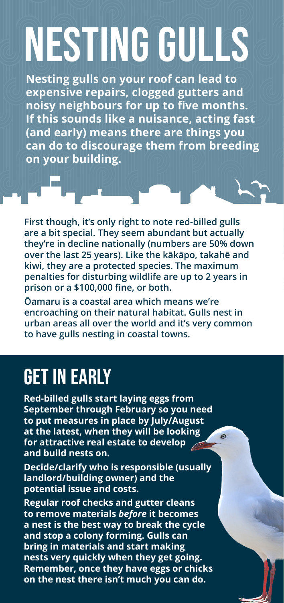# **NESTING GULLS**

**Nesting gulls on your roof can lead to expensive repairs, clogged gutters and noisy neighbours for up to five months. If this sounds like a nuisance, acting fast (and early) means there are things you can do to discourage them from breeding on your building.** 

**First though, it's only right to note red-billed gulls are a bit special. They seem abundant but actually they're in decline nationally (numbers are 50% down over the last 25 years). Like the kākāpo, takahē and kiwi, they are a protected species. The maximum penalties for disturbing wildlife are up to 2 years in prison or a \$100,000 fine, or both.** 

**Ōamaru is a coastal area which means we're encroaching on their natural habitat. Gulls nest in urban areas all over the world and it's very common to have gulls nesting in coastal towns.** 

### **GET IN EARLY**

**Red-billed gulls start laying eggs from September through February so you need to put measures in place by July/August at the latest, when they will be looking for attractive real estate to develop and build nests on.**

 $\Omega$ 

**Decide/clarify who is responsible (usually landlord/building owner) and the potential issue and costs.**

**Regular roof checks and gutter cleans to remove materials** *before* **it becomes a nest is the best way to break the cycle and stop a colony forming. Gulls can bring in materials and start making nests very quickly when they get going. Remember, once they have eggs or chicks on the nest there isn't much you can do.**